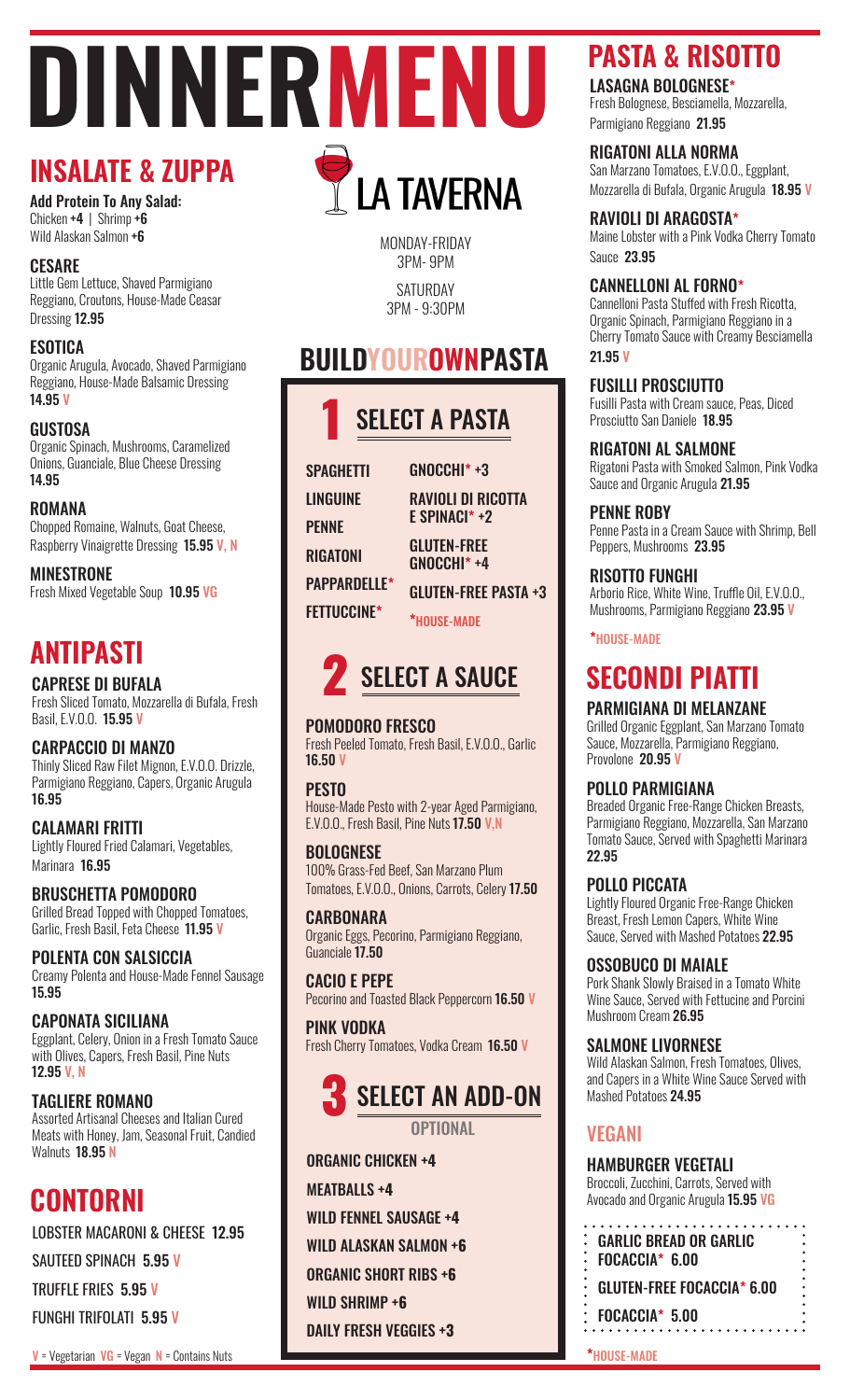# **DINNERMENU INSALATE & ZUPPA**

Add Protein To Any Salad: Chicken +4 | Shrimp +6 Wild Alaskan Salmon +6

## **CESARE**

Little Gem Lettuce, Shaved Parmigiano Reggiano, Croutons, House-Made Ceasar Dressing 12.95

### ESOTICA

Organic Arugula, Avocado, Shaved Parmigiano Reggiano, House-Made Balsamic Dressing 14.95 V

**GUSTOSA** Organic Spinach, Mushrooms, Caramelized Onions, Guanciale, Blue Cheese Dressing 14.95

ROMANA Chopped Romaine, Walnuts, Goat Cheese, Raspberry Vinaigrette Dressing 15.95 V, N

MINESTRONE Fresh Mixed Vegetable Soup 10.95 VG

## \*HOUSE-MADE **ANTIPASTI**

CAPRESE DI BUFALA Fresh Sliced Tomato, Mozzarella di Bufala, Fresh Basil, E.V.O.O. 15.95 V

#### CARPACCIO DI MANZO Thinly Sliced Raw Filet Mignon, E.V.O.O. Drizzle, Parmigiano Reggiano, Capers, Organic Arugula 16.95

CALAMARI FRITTI Lightly Floured Fried Calamari, Vegetables, Marinara 16.95

BRUSCHETTA POMODORO Grilled Bread Topped with Chopped Tomatoes, Garlic, Fresh Basil, Feta Cheese 11.95 V

POLENTA CON SALSICCIA Creamy Polenta and House-Made Fennel Sausage 15.95

CAPONATA SICILIANA Eggplant, Celery, Onion in a Fresh Tomato Sauce with Olives, Capers, Fresh Basil, Pine Nuts 12.95 V, N

## TAGLIERE ROMANO

Assorted Artisanal Cheeses and Italian Cured Meats with Honey, Jam, Seasonal Fruit, Candied Walnuts 18.95 N

## **CONTORNI**

LOBSTER MACARONI & CHEESE 12.95

SAUTEED SPINACH 5.95 V

TRUFFLE FRIES 5.95 V

FUNGHI TRIFOLATI 5.95 V

 $V = V$ egetarian  $VG = V$ egan  $N =$  Contains Nuts

**THE TANERNA** 

MONDAY-FRIDAY 3PM- 9PM SATURDAY

3PM - 9:30PM

## **BUILDYOUROWNPASTA**



**SPAGHETTI** LINGUINE **PFNNF** RIGATONI PAPPARDELLE\* FETTUCCINE\*

GNOCCHI\* +3 RAVIOLI DI RICOTTA E SPINACI\* +2 GLUTEN-FREE GNOCCHI\* +4 GLUTEN-FREE PASTA +3

\*HOUSE-MADE

## **SELECT A SAUCE**

## POMODORO FRESCO

Fresh Peeled Tomato, Fresh Basil, E.V.O.O., Garlic 16.50 V

### **PESTO**

House-Made Pesto with 2-year Aged Parmigiano, E.V.O.O., Fresh Basil, Pine Nuts 17.50 V.N

### BOLOGNESE

100% Grass-Fed Beef, San Marzano Plum Tomatoes, E.V.O.O., Onions, Carrots, Celery 17.50

### **CARBONARA**

Organic Eggs, Pecorino, Parmigiano Reggiano, Guanciale 17.50

CACIO E PEPE Pecorino and Toasted Black Peppercorn 16.50 V

PINK VODKA Fresh Cherry Tomatoes, Vodka Cream 16.50 V



**OPTIONAL** 

ORGANIC CHICKEN **+4** MEATBALLS **+4** WILD FENNEL SAUSAGE **+4** WILD ALASKAN SALMON **+6** ORGANIC SHORT RIBS **+6** WILD SHRIMP **+6** DAILY FRESH VEGGIES **+3**

## **PASTA & RISOTTO**

LASAGNA BOLOGNESE\*

Fresh Bolognese, Besciamella, Mozzarella, Parmigiano Reggiano 21.95

## RIGATONI ALLA NORMA

San Marzano Tomatoes, E.V.O.O., Eggplant, Mozzarella di Bufala, Organic Arugula 18.95 V

## RAVIOLI DI ARAGOSTA\*

Maine Lobster with a Pink Vodka Cherry Tomato Sauce 23.95

## CANNELLONI AL FORNO\*

Cannelloni Pasta Stuffed with Fresh Ricotta, Organic Spinach, Parmigiano Reggiano in a Cherry Tomato Sauce with Creamy Besciamella 21.95 V

### FUSILLI PROSCIUTTO

Fusilli Pasta with Cream sauce, Peas, Diced Prosciutto San Daniele 18.95

RIGATONI AL SALMONE

Rigatoni Pasta with Smoked Salmon, Pink Vodka Sauce and Organic Arugula 21.95

### PENNE ROBY

Penne Pasta in a Cream Sauce with Shrimp, Bell Peppers, Mushrooms 23.95

### RISOTTO FUNGHI

Arborio Rice, White Wine, Truffle Oil, E.V.O.O., Mushrooms, Parmigiano Reggiano 23.95 V

## **SECONDI PIATTI**

## PARMIGIANA DI MELANZANE

Grilled Organic Eggplant, San Marzano Tomato Sauce, Mozzarella, Parmigiano Reggiano, Provolone 20.95 V

## POLLO PARMIGIANA

Breaded Organic Free-Range Chicken Breasts, Parmigiano Reggiano, Mozzarella, San Marzano Tomato Sauce, Served with Spaghetti Marinara 22.95

### POLLO PICCATA

Lightly Floured Organic Free-Range Chicken Breast, Fresh Lemon Capers, White Wine Sauce, Served with Mashed Potatoes 22.95

### OSSOBUCO DI MAIALE

Pork Shank Slowly Braised in a Tomato White Wine Sauce, Served with Fettucine and Porcini Mushroom Cream 26.95

#### SALMONE LIVORNESE

Wild Alaskan Salmon, Fresh Tomatoes, Olives, and Capers in a White Wine Sauce Served with Mashed Potatoes 24.95

## VEGANI

### HAMBURGER VEGETALI

Broccoli, Zucchini, Carrots, Served with Avocado and Organic Arugula 15.95 VG

. . . . . . . . . . . . . . . . . GARLIC BREAD OR GARLIC FOCACCIA\* 6.00 GLUTEN-FREE FOCACCIA\* 6.00 FOCACCIA\* 5.00 . . . . . . . . . . . . . .